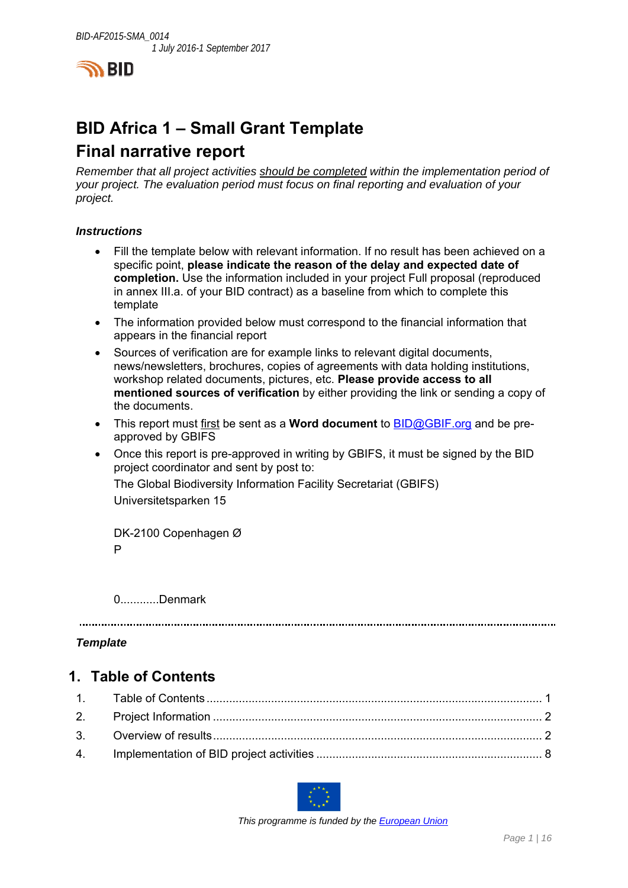

# **BID Africa 1 – Small Grant Template Final narrative report**

*Remember that all project activities should be completed within the implementation period of your project. The evaluation period must focus on final reporting and evaluation of your project.* 

#### *Instructions*

- Fill the template below with relevant information. If no result has been achieved on a specific point, **please indicate the reason of the delay and expected date of completion.** Use the information included in your project Full proposal (reproduced in annex III.a. of your BID contract) as a baseline from which to complete this template
- The information provided below must correspond to the financial information that appears in the financial report
- Sources of verification are for example links to relevant digital documents, news/newsletters, brochures, copies of agreements with data holding institutions, workshop related documents, pictures, etc. **Please provide access to all mentioned sources of verification** by either providing the link or sending a copy of the documents.
- This report must first be sent as a **Word document** to BID@GBIF.org and be preapproved by GBIFS
- Once this report is pre-approved in writing by GBIFS, it must be signed by the BID project coordinator and sent by post to: The Global Biodiversity Information Facility Secretariat (GBIFS) Universitetsparken 15

DK-2100 Copenhagen Ø P

0............Denmark

#### *Template*

### **1. Table of Contents**



 *This programme is funded by the European Union*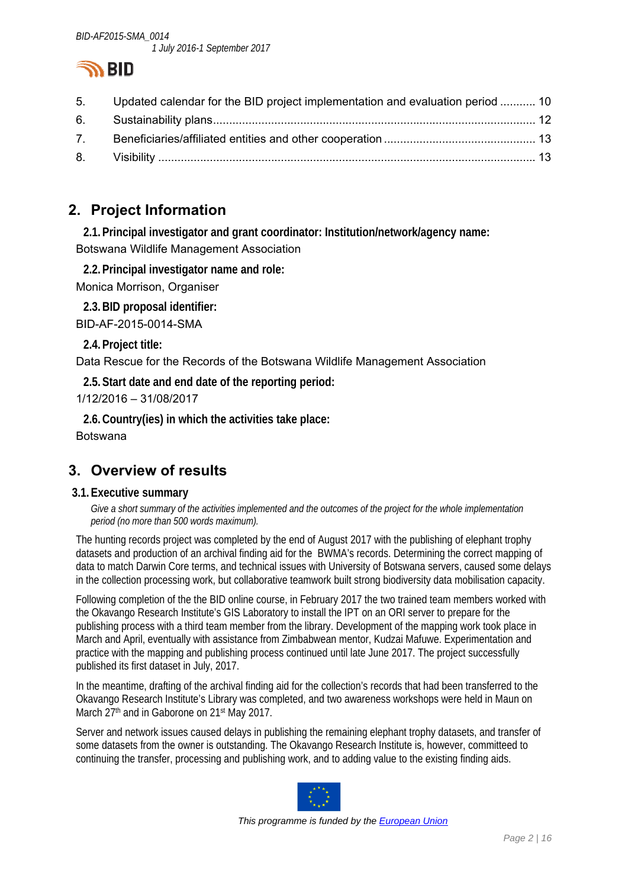

|             | 5. Updated calendar for the BID project implementation and evaluation period  10 |  |
|-------------|----------------------------------------------------------------------------------|--|
|             |                                                                                  |  |
| $7^{\circ}$ |                                                                                  |  |
|             |                                                                                  |  |

# **2. Project Information**

**2.1.Principal investigator and grant coordinator: Institution/network/agency name:**  Botswana Wildlife Management Association

**2.2.Principal investigator name and role:** 

Monica Morrison, Organiser

**2.3.BID proposal identifier:** 

BID-AF-2015-0014-SMA

**2.4.Project title:** 

Data Rescue for the Records of the Botswana Wildlife Management Association

**2.5.Start date and end date of the reporting period:** 

1/12/2016 – 31/08/2017

**2.6.Country(ies) in which the activities take place:**  Botswana

## **3. Overview of results**

#### **3.1.Executive summary**

Give a short summary of the activities implemented and the outcomes of the project for the whole implementation *period (no more than 500 words maximum).* 

The hunting records project was completed by the end of August 2017 with the publishing of elephant trophy datasets and production of an archival finding aid for the BWMA's records. Determining the correct mapping of data to match Darwin Core terms, and technical issues with University of Botswana servers, caused some delays in the collection processing work, but collaborative teamwork built strong biodiversity data mobilisation capacity.

Following completion of the the BID online course, in February 2017 the two trained team members worked with the Okavango Research Institute's GIS Laboratory to install the IPT on an ORI server to prepare for the publishing process with a third team member from the library. Development of the mapping work took place in March and April, eventually with assistance from Zimbabwean mentor, Kudzai Mafuwe. Experimentation and practice with the mapping and publishing process continued until late June 2017. The project successfully published its first dataset in July, 2017.

In the meantime, drafting of the archival finding aid for the collection's records that had been transferred to the Okavango Research Institute's Library was completed, and two awareness workshops were held in Maun on March 27<sup>th</sup> and in Gaborone on 21<sup>st</sup> May 2017.

Server and network issues caused delays in publishing the remaining elephant trophy datasets, and transfer of some datasets from the owner is outstanding. The Okavango Research Institute is, however, committeed to continuing the transfer, processing and publishing work, and to adding value to the existing finding aids.



 *This programme is funded by the European Union*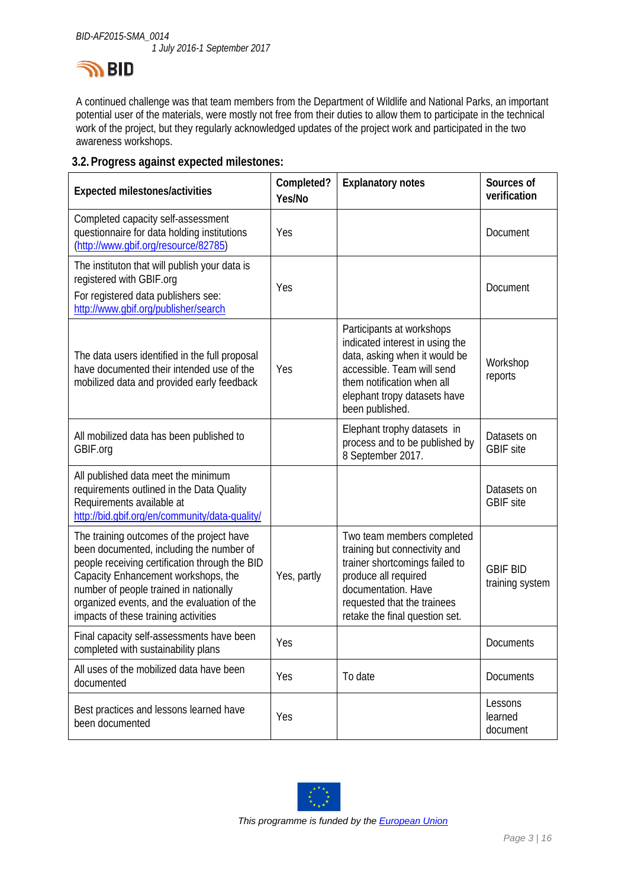

A continued challenge was that team members from the Department of Wildlife and National Parks, an important potential user of the materials, were mostly not free from their duties to allow them to participate in the technical work of the project, but they regularly acknowledged updates of the project work and participated in the two awareness workshops.

#### **3.2.Progress against expected milestones:**

| <b>Expected milestones/activities</b>                                                                                                                                                                                                                                                                           | Completed?<br>Yes/No | <b>Explanatory notes</b>                                                                                                                                                                                      | Sources of<br>verification         |
|-----------------------------------------------------------------------------------------------------------------------------------------------------------------------------------------------------------------------------------------------------------------------------------------------------------------|----------------------|---------------------------------------------------------------------------------------------------------------------------------------------------------------------------------------------------------------|------------------------------------|
| Completed capacity self-assessment<br>questionnaire for data holding institutions<br>(http://www.gbif.org/resource/82785)                                                                                                                                                                                       | Yes                  |                                                                                                                                                                                                               | Document                           |
| The instituton that will publish your data is<br>registered with GBIF.org<br>For registered data publishers see:<br>http://www.gbif.org/publisher/search                                                                                                                                                        | Yes                  |                                                                                                                                                                                                               | <b>Document</b>                    |
| The data users identified in the full proposal<br>have documented their intended use of the<br>mobilized data and provided early feedback                                                                                                                                                                       | Yes                  | Participants at workshops<br>indicated interest in using the<br>data, asking when it would be<br>accessible. Team will send<br>them notification when all<br>elephant tropy datasets have<br>been published.  | Workshop<br>reports                |
| All mobilized data has been published to<br>GBIF.org                                                                                                                                                                                                                                                            |                      | Elephant trophy datasets in<br>process and to be published by<br>8 September 2017.                                                                                                                            | Datasets on<br><b>GBIF</b> site    |
| All published data meet the minimum<br>requirements outlined in the Data Quality<br>Requirements available at<br>http://bid.gbif.org/en/community/data-quality/                                                                                                                                                 |                      |                                                                                                                                                                                                               | Datasets on<br><b>GBIF</b> site    |
| The training outcomes of the project have<br>been documented, including the number of<br>people receiving certification through the BID<br>Capacity Enhancement workshops, the<br>number of people trained in nationally<br>organized events, and the evaluation of the<br>impacts of these training activities | Yes, partly          | Two team members completed<br>training but connectivity and<br>trainer shortcomings failed to<br>produce all required<br>documentation. Have<br>requested that the trainees<br>retake the final question set. | <b>GBIF BID</b><br>training system |
| Final capacity self-assessments have been<br>completed with sustainability plans                                                                                                                                                                                                                                | Yes                  |                                                                                                                                                                                                               | Documents                          |
| All uses of the mobilized data have been<br>documented                                                                                                                                                                                                                                                          | Yes                  | To date                                                                                                                                                                                                       | Documents                          |
| Best practices and lessons learned have<br>been documented                                                                                                                                                                                                                                                      | Yes                  |                                                                                                                                                                                                               | Lessons<br>learned<br>document     |

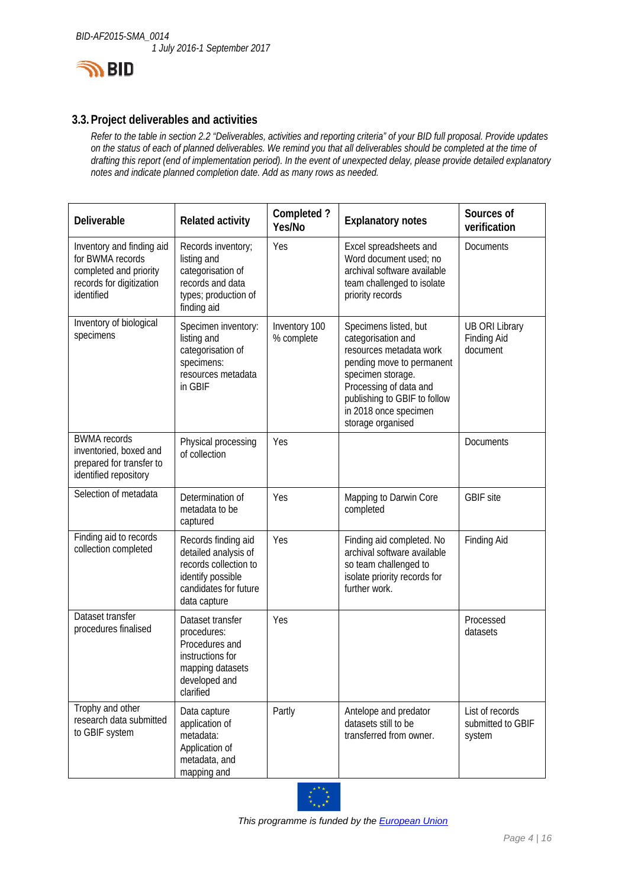

#### **3.3.Project deliverables and activities**

*Refer to the table in section 2.2 "Deliverables, activities and reporting criteria" of your BID full proposal. Provide updates on the status of each of planned deliverables. We remind you that all deliverables should be completed at the time of drafting this report (end of implementation period). In the event of unexpected delay, please provide detailed explanatory notes and indicate planned completion date. Add as many rows as needed.* 

| Deliverable                                                                                                       | <b>Related activity</b>                                                                                                            | Completed?<br>Yes/No        | <b>Explanatory notes</b>                                                                                                                                                                                                         | Sources of<br>verification                              |
|-------------------------------------------------------------------------------------------------------------------|------------------------------------------------------------------------------------------------------------------------------------|-----------------------------|----------------------------------------------------------------------------------------------------------------------------------------------------------------------------------------------------------------------------------|---------------------------------------------------------|
| Inventory and finding aid<br>for BWMA records<br>completed and priority<br>records for digitization<br>identified | Records inventory;<br>listing and<br>categorisation of<br>records and data<br>types; production of<br>finding aid                  | Yes                         | Excel spreadsheets and<br>Word document used; no<br>archival software available<br>team challenged to isolate<br>priority records                                                                                                | <b>Documents</b>                                        |
| Inventory of biological<br>specimens                                                                              | Specimen inventory:<br>listing and<br>categorisation of<br>specimens:<br>resources metadata<br>in GBIF                             | Inventory 100<br>% complete | Specimens listed, but<br>categorisation and<br>resources metadata work<br>pending move to permanent<br>specimen storage.<br>Processing of data and<br>publishing to GBIF to follow<br>in 2018 once specimen<br>storage organised | <b>UB ORI Library</b><br><b>Finding Aid</b><br>document |
| <b>BWMA</b> records<br>inventoried, boxed and<br>prepared for transfer to<br>identified repository                | Physical processing<br>of collection                                                                                               | Yes                         |                                                                                                                                                                                                                                  | <b>Documents</b>                                        |
| Selection of metadata                                                                                             | Determination of<br>metadata to be<br>captured                                                                                     | Yes                         | Mapping to Darwin Core<br>completed                                                                                                                                                                                              | <b>GBIF</b> site                                        |
| Finding aid to records<br>collection completed                                                                    | Records finding aid<br>detailed analysis of<br>records collection to<br>identify possible<br>candidates for future<br>data capture | Yes                         | Finding aid completed. No<br>archival software available<br>so team challenged to<br>isolate priority records for<br>further work.                                                                                               | <b>Finding Aid</b>                                      |
| Dataset transfer<br>procedures finalised                                                                          | Dataset transfer<br>procedures:<br>Procedures and<br>instructions for<br>mapping datasets<br>developed and<br>clarified            | Yes                         |                                                                                                                                                                                                                                  | Processed<br>datasets                                   |
| Trophy and other<br>research data submitted<br>to GBIF system                                                     | Data capture<br>application of<br>metadata:<br>Application of<br>metadata, and<br>mapping and                                      | Partly                      | Antelope and predator<br>datasets still to be<br>transferred from owner.                                                                                                                                                         | List of records<br>submitted to GBIF<br>system          |

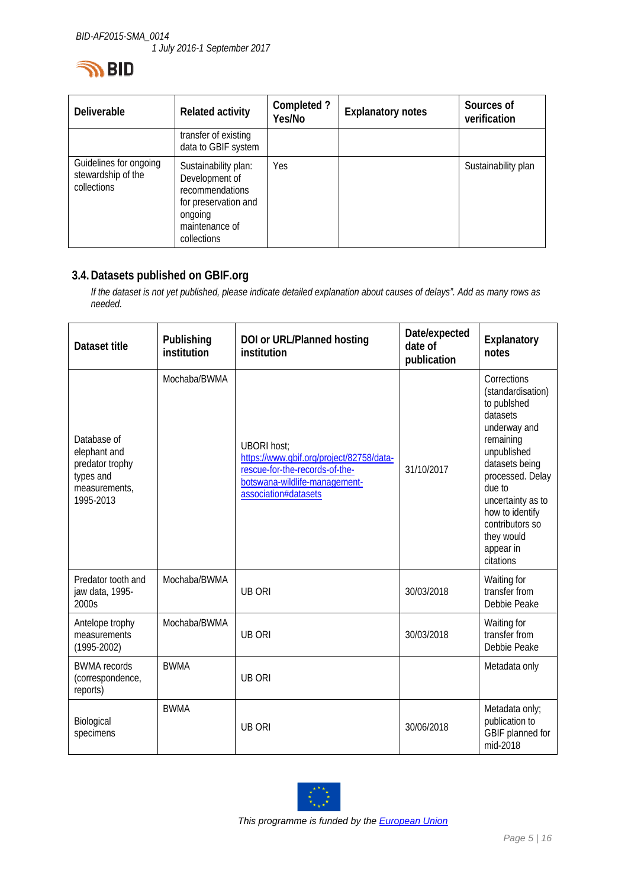

| <b>Deliverable</b>                                          | <b>Related activity</b>                                                                                                       | Completed?<br>Yes/No | <b>Explanatory notes</b> | Sources of<br>verification |
|-------------------------------------------------------------|-------------------------------------------------------------------------------------------------------------------------------|----------------------|--------------------------|----------------------------|
|                                                             | transfer of existing<br>data to GBIF system                                                                                   |                      |                          |                            |
| Guidelines for ongoing<br>stewardship of the<br>collections | Sustainability plan:<br>Development of<br>recommendations<br>for preservation and<br>ongoing<br>maintenance of<br>collections | Yes                  |                          | Sustainability plan        |

#### **3.4.Datasets published on GBIF.org**

*If the dataset is not yet published, please indicate detailed explanation about causes of delays". Add as many rows as needed.* 

| Dataset title                                                                             | Publishing<br>institution | DOI or URL/Planned hosting<br>institution                                                                                                                 | Date/expected<br>date of<br>publication | Explanatory<br>notes                                                                                                                                                                                                                                       |
|-------------------------------------------------------------------------------------------|---------------------------|-----------------------------------------------------------------------------------------------------------------------------------------------------------|-----------------------------------------|------------------------------------------------------------------------------------------------------------------------------------------------------------------------------------------------------------------------------------------------------------|
| Database of<br>elephant and<br>predator trophy<br>types and<br>measurements,<br>1995-2013 | Mochaba/BWMA              | <b>UBORI host:</b><br>https://www.gbif.org/project/82758/data-<br>rescue-for-the-records-of-the-<br>botswana-wildlife-management-<br>association#datasets | 31/10/2017                              | Corrections<br>(standardisation)<br>to publshed<br>datasets<br>underway and<br>remaining<br>unpublished<br>datasets being<br>processed. Delay<br>due to<br>uncertainty as to<br>how to identify<br>contributors so<br>they would<br>appear in<br>citations |
| Predator tooth and<br>jaw data, 1995-<br>2000s                                            | Mochaba/BWMA              | <b>UB ORI</b>                                                                                                                                             | 30/03/2018                              | Waiting for<br>transfer from<br>Debbie Peake                                                                                                                                                                                                               |
| Antelope trophy<br>measurements<br>$(1995 - 2002)$                                        | Mochaba/BWMA              | <b>UB ORI</b>                                                                                                                                             | 30/03/2018                              | Waiting for<br>transfer from<br>Debbie Peake                                                                                                                                                                                                               |
| <b>BWMA</b> records<br>(correspondence,<br>reports)                                       | <b>BWMA</b>               | <b>UB ORI</b>                                                                                                                                             |                                         | Metadata only                                                                                                                                                                                                                                              |
| Biological<br>specimens                                                                   | <b>BWMA</b>               | <b>UB ORI</b>                                                                                                                                             | 30/06/2018                              | Metadata only;<br>publication to<br>GBIF planned for<br>mid-2018                                                                                                                                                                                           |



 *This programme is funded by the European Union*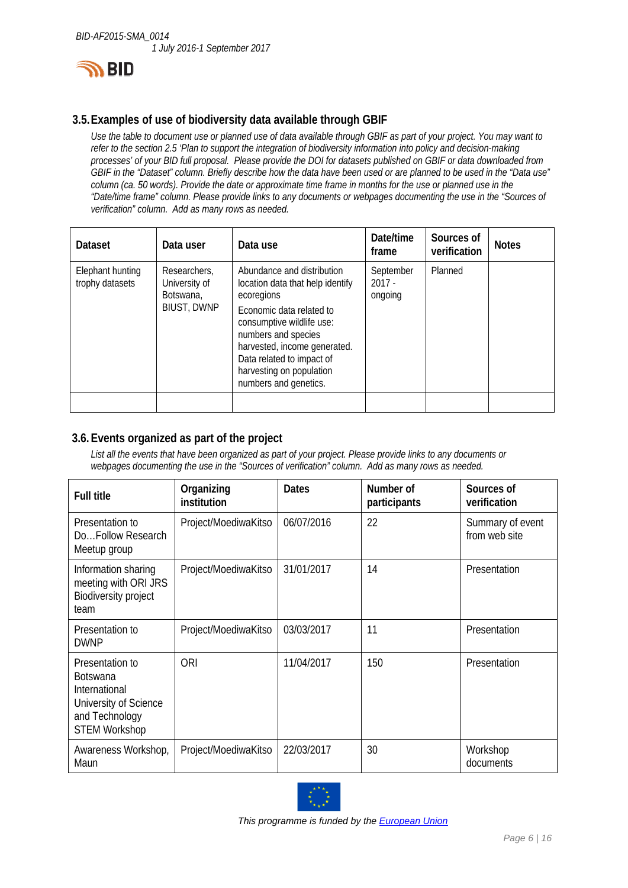

#### **3.5.Examples of use of biodiversity data available through GBIF**

*Use the table to document use or planned use of data available through GBIF as part of your project. You may want to refer to the section 2.5 'Plan to support the integration of biodiversity information into policy and decision-making processes' of your BID full proposal. Please provide the DOI for datasets published on GBIF or data downloaded from GBIF in the "Dataset" column. Briefly describe how the data have been used or are planned to be used in the "Data use" column (ca. 50 words). Provide the date or approximate time frame in months for the use or planned use in the "Date/time frame" column. Please provide links to any documents or webpages documenting the use in the "Sources of verification" column. Add as many rows as needed.* 

| Dataset                             | Data user                                                        | Data use                                                                                                                                                                                                                                                                       | Date/time<br>frame               | Sources of<br>verification | <b>Notes</b> |
|-------------------------------------|------------------------------------------------------------------|--------------------------------------------------------------------------------------------------------------------------------------------------------------------------------------------------------------------------------------------------------------------------------|----------------------------------|----------------------------|--------------|
| Elephant hunting<br>trophy datasets | Researchers,<br>University of<br>Botswana,<br><b>BIUST, DWNP</b> | Abundance and distribution<br>location data that help identify<br>ecoregions<br>Economic data related to<br>consumptive wildlife use:<br>numbers and species<br>harvested, income generated.<br>Data related to impact of<br>harvesting on population<br>numbers and genetics. | September<br>$2017 -$<br>ongoing | Planned                    |              |
|                                     |                                                                  |                                                                                                                                                                                                                                                                                |                                  |                            |              |

#### **3.6.Events organized as part of the project**

*List all the events that have been organized as part of your project. Please provide links to any documents or webpages documenting the use in the "Sources of verification" column. Add as many rows as needed.* 

| <b>Full title</b>                                                                                                      | Organizing<br>institution | <b>Dates</b> | Number of<br>participants | Sources of<br>verification        |
|------------------------------------------------------------------------------------------------------------------------|---------------------------|--------------|---------------------------|-----------------------------------|
| Presentation to<br>DoFollow Research<br>Meetup group                                                                   | Project/MoediwaKitso      | 06/07/2016   | 22                        | Summary of event<br>from web site |
| Information sharing<br>meeting with ORI JRS<br><b>Biodiversity project</b><br>team                                     | Project/MoediwaKitso      | 31/01/2017   | 14                        | Presentation                      |
| Presentation to<br><b>DWNP</b>                                                                                         | Project/MoediwaKitso      | 03/03/2017   | 11                        | Presentation                      |
| Presentation to<br><b>Botswana</b><br>International<br>University of Science<br>and Technology<br><b>STEM Workshop</b> | <b>ORI</b>                | 11/04/2017   | 150                       | Presentation                      |
| Awareness Workshop,<br>Maun                                                                                            | Project/MoediwaKitso      | 22/03/2017   | 30                        | Workshop<br>documents             |

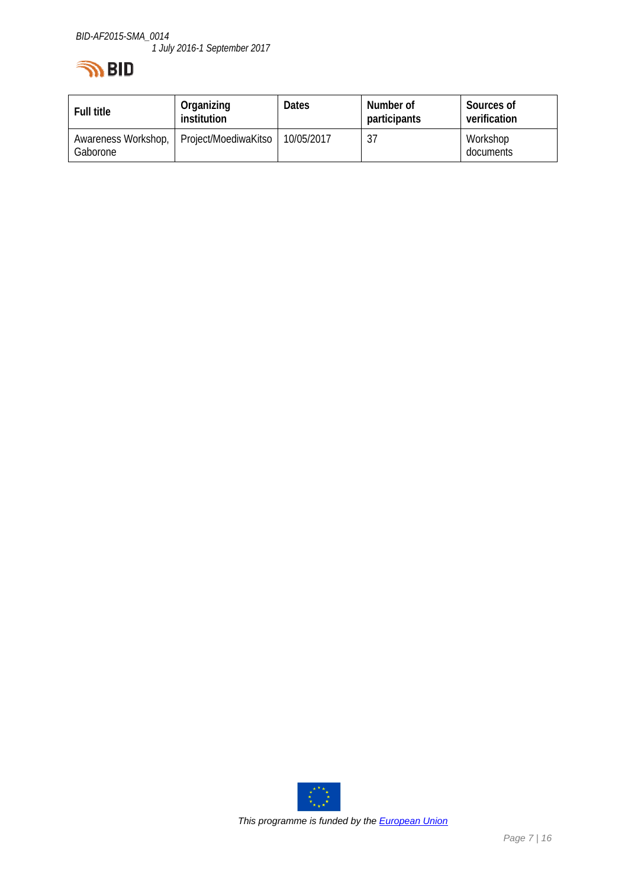# **IN BID**

| <b>Full title</b>               | Organizing<br>institution | <b>Dates</b> | Number of<br>participants | Sources of<br>verification |
|---------------------------------|---------------------------|--------------|---------------------------|----------------------------|
| Awareness Workshop,<br>Gaborone | Project/MoediwaKitso      | 10/05/2017   | 37                        | Workshop<br>documents      |

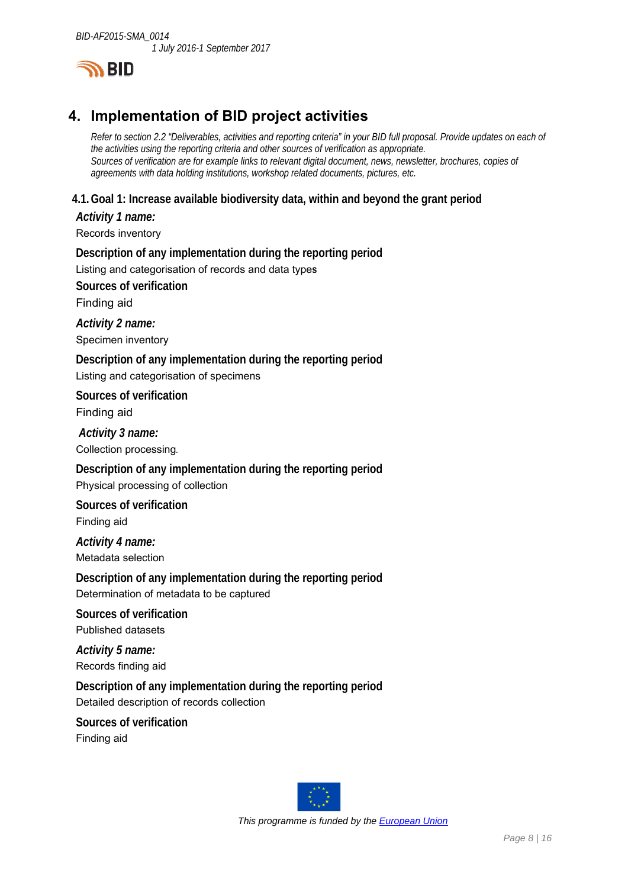

# **4. Implementation of BID project activities**

*Refer to section 2.2 "Deliverables, activities and reporting criteria" in your BID full proposal. Provide updates on each of the activities using the reporting criteria and other sources of verification as appropriate. Sources of verification are for example links to relevant digital document, news, newsletter, brochures, copies of agreements with data holding institutions, workshop related documents, pictures, etc.* 

#### **4.1.Goal 1: Increase available biodiversity data, within and beyond the grant period**

*Activity 1 name:*  Records inventory

**Description of any implementation during the reporting period**  Listing and categorisation of records and data type**s Sources of verification** 

Finding aid

*Activity 2 name:*  Specimen inventory

**Description of any implementation during the reporting period**  Listing and categorisation of specimens

**Sources of verification** 

Finding aid

*Activity 3 name:* 

Collection processing*.*

**Description of any implementation during the reporting period**  Physical processing of collection

**Sources of verification**  Finding aid

*Activity 4 name:*  Metadata selection

**Description of any implementation during the reporting period**  Determination of metadata to be captured

**Sources of verification**  Published datasets

*Activity 5 name:*  Records finding aid

**Description of any implementation during the reporting period**  Detailed description of records collection

**Sources of verification**  Finding aid

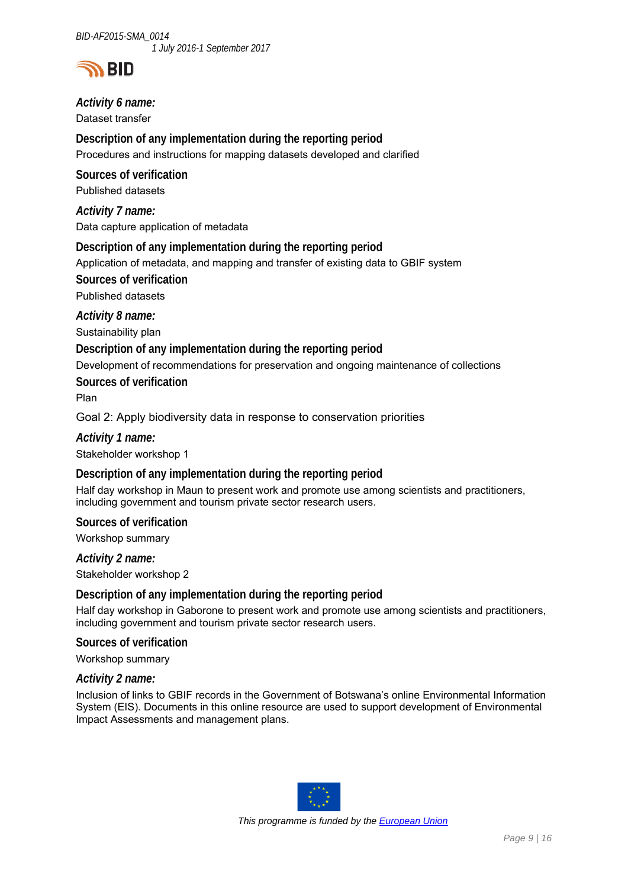

*Activity 6 name:* 

Dataset transfer

**Description of any implementation during the reporting period**  Procedures and instructions for mapping datasets developed and clarified

**Sources of verification**  Published datasets

*Activity 7 name:*  Data capture application of metadata

**Description of any implementation during the reporting period** 

Application of metadata, and mapping and transfer of existing data to GBIF system

**Sources of verification** 

Published datasets

*Activity 8 name:* 

Sustainability plan

#### **Description of any implementation during the reporting period**

Development of recommendations for preservation and ongoing maintenance of collections

**Sources of verification** 

Plan

Goal 2: Apply biodiversity data in response to conservation priorities

*Activity 1 name:* 

Stakeholder workshop 1

#### **Description of any implementation during the reporting period**

Half day workshop in Maun to present work and promote use among scientists and practitioners, including government and tourism private sector research users.

**Sources of verification** 

Workshop summary

*Activity 2 name:* 

Stakeholder workshop 2

#### **Description of any implementation during the reporting period**

Half day workshop in Gaborone to present work and promote use among scientists and practitioners, including government and tourism private sector research users.

**Sources of verification** 

Workshop summary

#### *Activity 2 name:*

Inclusion of links to GBIF records in the Government of Botswana's online Environmental Information System (EIS). Documents in this online resource are used to support development of Environmental Impact Assessments and management plans.

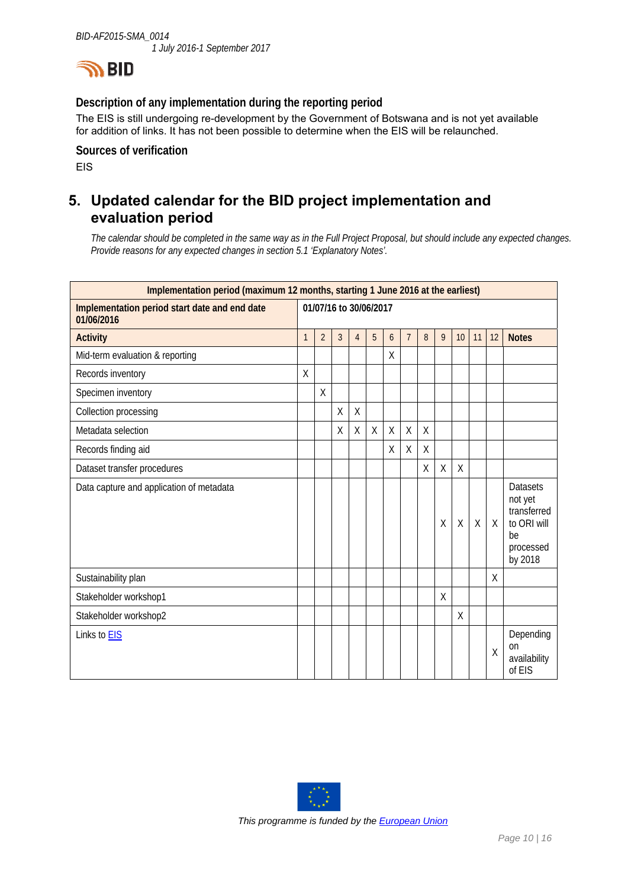

#### **Description of any implementation during the reporting period**

The EIS is still undergoing re-development by the Government of Botswana and is not yet available for addition of links. It has not been possible to determine when the EIS will be relaunched.

**Sources of verification**  EIS

### **5. Updated calendar for the BID project implementation and evaluation period**

*The calendar should be completed in the same way as in the Full Project Proposal, but should include any expected changes. Provide reasons for any expected changes in section 5.1 'Explanatory Notes'.* 

| Implementation period (maximum 12 months, starting 1 June 2016 at the earliest) |              |                        |   |                |         |   |                |   |         |              |         |         |                                                                                        |
|---------------------------------------------------------------------------------|--------------|------------------------|---|----------------|---------|---|----------------|---|---------|--------------|---------|---------|----------------------------------------------------------------------------------------|
| Implementation period start date and end date<br>01/06/2016                     |              | 01/07/16 to 30/06/2017 |   |                |         |   |                |   |         |              |         |         |                                                                                        |
| <b>Activity</b>                                                                 | $\mathbf{1}$ | $\overline{2}$         | 3 | $\overline{4}$ | 5       | 6 | $\overline{7}$ | 8 | 9       | 10           | 11      | 12      | <b>Notes</b>                                                                           |
| Mid-term evaluation & reporting                                                 |              |                        |   |                |         | Χ |                |   |         |              |         |         |                                                                                        |
| Records inventory                                                               | Χ            |                        |   |                |         |   |                |   |         |              |         |         |                                                                                        |
| Specimen inventory                                                              |              | $\sf X$                |   |                |         |   |                |   |         |              |         |         |                                                                                        |
| Collection processing                                                           |              |                        | X | Χ              |         |   |                |   |         |              |         |         |                                                                                        |
| Metadata selection                                                              |              |                        | Χ | Χ              | $\sf X$ | Χ | Χ              | Χ |         |              |         |         |                                                                                        |
| Records finding aid                                                             |              |                        |   |                |         | Χ | X              | Χ |         |              |         |         |                                                                                        |
| Dataset transfer procedures                                                     |              |                        |   |                |         |   |                | Χ | Χ       | χ            |         |         |                                                                                        |
| Data capture and application of metadata                                        |              |                        |   |                |         |   |                |   | $\sf X$ | $\mathsf{X}$ | $\sf X$ | $\sf X$ | <b>Datasets</b><br>not yet<br>transferred<br>to ORI will<br>be<br>processed<br>by 2018 |
| Sustainability plan                                                             |              |                        |   |                |         |   |                |   |         |              |         | X       |                                                                                        |
| Stakeholder workshop1                                                           |              |                        |   |                |         |   |                |   | Χ       |              |         |         |                                                                                        |
| Stakeholder workshop2                                                           |              |                        |   |                |         |   |                |   |         | Χ            |         |         |                                                                                        |
| Links to EIS                                                                    |              |                        |   |                |         |   |                |   |         |              |         | Χ       | Depending<br>on<br>availability<br>of EIS                                              |

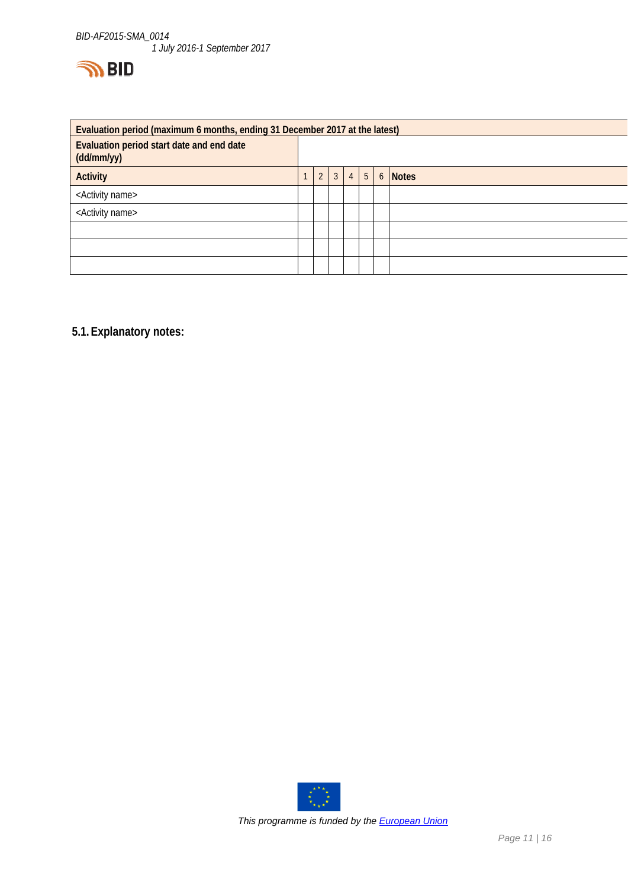

| Evaluation period (maximum 6 months, ending 31 December 2017 at the latest) |  |                |                |                |                |  |         |
|-----------------------------------------------------------------------------|--|----------------|----------------|----------------|----------------|--|---------|
| Evaluation period start date and end date<br>(dd/mm/yy)                     |  |                |                |                |                |  |         |
| <b>Activity</b>                                                             |  | $\mathfrak{D}$ | $\overline{3}$ | 4 <sup>1</sup> | 5 <sup>1</sup> |  | 6 Notes |
| <activity name=""></activity>                                               |  |                |                |                |                |  |         |
| <activity name=""></activity>                                               |  |                |                |                |                |  |         |
|                                                                             |  |                |                |                |                |  |         |
|                                                                             |  |                |                |                |                |  |         |
|                                                                             |  |                |                |                |                |  |         |

**5.1.Explanatory notes:** 

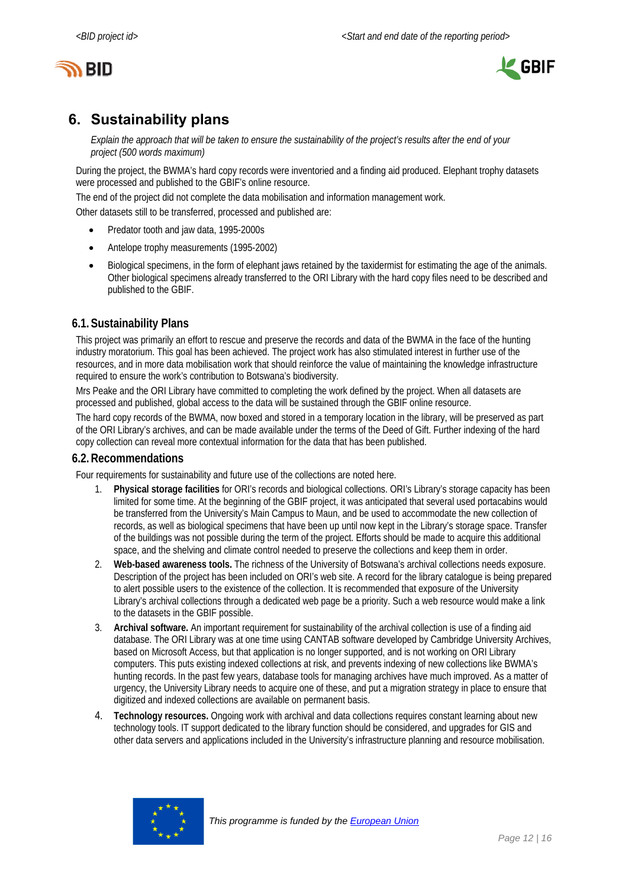



# **6. Sustainability plans**

*Explain the approach that will be taken to ensure the sustainability of the project's results after the end of your project (500 words maximum)* 

During the project, the BWMA's hard copy records were inventoried and a finding aid produced. Elephant trophy datasets were processed and published to the GBIF's online resource.

The end of the project did not complete the data mobilisation and information management work.

Other datasets still to be transferred, processed and published are:

- Predator tooth and jaw data, 1995-2000s
- Antelope trophy measurements (1995-2002)
- Biological specimens, in the form of elephant jaws retained by the taxidermist for estimating the age of the animals. Other biological specimens already transferred to the ORI Library with the hard copy files need to be described and published to the GBIF.

#### **6.1.Sustainability Plans**

This project was primarily an effort to rescue and preserve the records and data of the BWMA in the face of the hunting industry moratorium. This goal has been achieved. The project work has also stimulated interest in further use of the resources, and in more data mobilisation work that should reinforce the value of maintaining the knowledge infrastructure required to ensure the work's contribution to Botswana's biodiversity.

Mrs Peake and the ORI Library have committed to completing the work defined by the project. When all datasets are processed and published, global access to the data will be sustained through the GBIF online resource.

The hard copy records of the BWMA, now boxed and stored in a temporary location in the library, will be preserved as part of the ORI Library's archives, and can be made available under the terms of the Deed of Gift. Further indexing of the hard copy collection can reveal more contextual information for the data that has been published.

#### **6.2.Recommendations**

Four requirements for sustainability and future use of the collections are noted here.

- 1. **Physical storage facilities** for ORI's records and biological collections. ORI's Library's storage capacity has been limited for some time. At the beginning of the GBIF project, it was anticipated that several used portacabins would be transferred from the University's Main Campus to Maun, and be used to accommodate the new collection of records, as well as biological specimens that have been up until now kept in the Library's storage space. Transfer of the buildings was not possible during the term of the project. Efforts should be made to acquire this additional space, and the shelving and climate control needed to preserve the collections and keep them in order.
- 2. **Web-based awareness tools.** The richness of the University of Botswana's archival collections needs exposure. Description of the project has been included on ORI's web site. A record for the library catalogue is being prepared to alert possible users to the existence of the collection. It is recommended that exposure of the University Library's archival collections through a dedicated web page be a priority. Such a web resource would make a link to the datasets in the GBIF possible.
- 3. **Archival software.** An important requirement for sustainability of the archival collection is use of a finding aid database. The ORI Library was at one time using CANTAB software developed by Cambridge University Archives, based on Microsoft Access, but that application is no longer supported, and is not working on ORI Library computers. This puts existing indexed collections at risk, and prevents indexing of new collections like BWMA's hunting records. In the past few years, database tools for managing archives have much improved. As a matter of urgency, the University Library needs to acquire one of these, and put a migration strategy in place to ensure that digitized and indexed collections are available on permanent basis.
- 4. **Technology resources.** Ongoing work with archival and data collections requires constant learning about new technology tools. IT support dedicated to the library function should be considered, and upgrades for GIS and other data servers and applications included in the University's infrastructure planning and resource mobilisation.

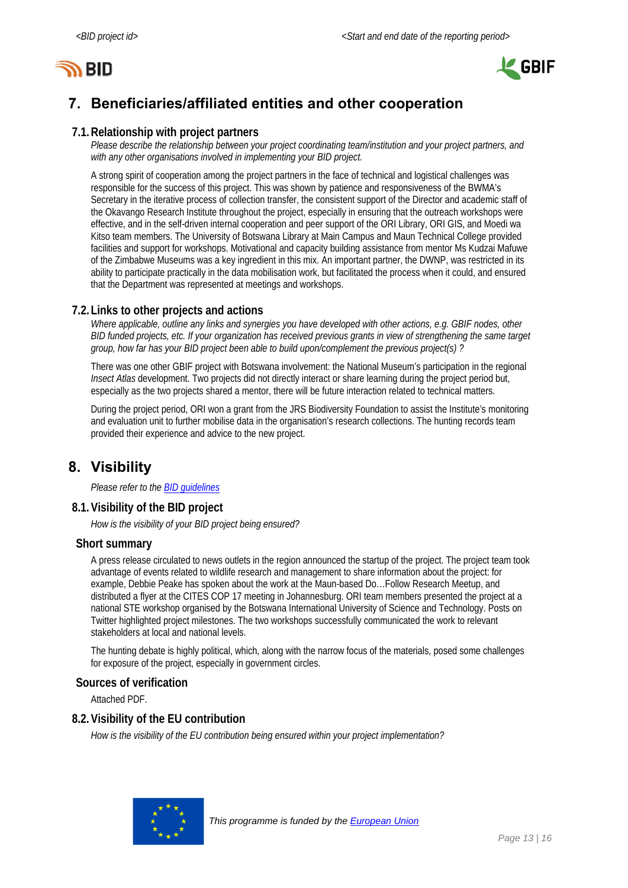



# **7. Beneficiaries/affiliated entities and other cooperation**

#### **7.1.Relationship with project partners**

*Please describe the relationship between your project coordinating team/institution and your project partners, and with any other organisations involved in implementing your BID project.* 

A strong spirit of cooperation among the project partners in the face of technical and logistical challenges was responsible for the success of this project. This was shown by patience and responsiveness of the BWMA's Secretary in the iterative process of collection transfer, the consistent support of the Director and academic staff of the Okavango Research Institute throughout the project, especially in ensuring that the outreach workshops were effective, and in the self-driven internal cooperation and peer support of the ORI Library, ORI GIS, and Moedi wa Kitso team members. The University of Botswana Library at Main Campus and Maun Technical College provided facilities and support for workshops. Motivational and capacity building assistance from mentor Ms Kudzai Mafuwe of the Zimbabwe Museums was a key ingredient in this mix. An important partner, the DWNP, was restricted in its ability to participate practically in the data mobilisation work, but facilitated the process when it could, and ensured that the Department was represented at meetings and workshops.

#### **7.2.Links to other projects and actions**

*Where applicable, outline any links and synergies you have developed with other actions, e.g. GBIF nodes, other BID funded projects, etc. If your organization has received previous grants in view of strengthening the same target group, how far has your BID project been able to build upon/complement the previous project(s) ?* 

There was one other GBIF project with Botswana involvement: the National Museum's participation in the regional *Insect Atlas* development. Two projects did not directly interact or share learning during the project period but, especially as the two projects shared a mentor, there will be future interaction related to technical matters.

During the project period, ORI won a grant from the JRS Biodiversity Foundation to assist the Institute's monitoring and evaluation unit to further mobilise data in the organisation's research collections. The hunting records team provided their experience and advice to the new project.

### **8. Visibility**

*Please refer to the BID guidelines* 

#### **8.1.Visibility of the BID project**

*How is the visibility of your BID project being ensured?* 

#### **Short summary**

A press release circulated to news outlets in the region announced the startup of the project. The project team took advantage of events related to wildlife research and management to share information about the project: for example, Debbie Peake has spoken about the work at the Maun-based Do…Follow Research Meetup, and distributed a flyer at the CITES COP 17 meeting in Johannesburg. ORI team members presented the project at a national STE workshop organised by the Botswana International University of Science and Technology. Posts on Twitter highlighted project milestones. The two workshops successfully communicated the work to relevant stakeholders at local and national levels.

The hunting debate is highly political, which, along with the narrow focus of the materials, posed some challenges for exposure of the project, especially in government circles.

#### **Sources of verification**

Attached PDF.

#### **8.2.Visibility of the EU contribution**

*How is the visibility of the EU contribution being ensured within your project implementation?* 

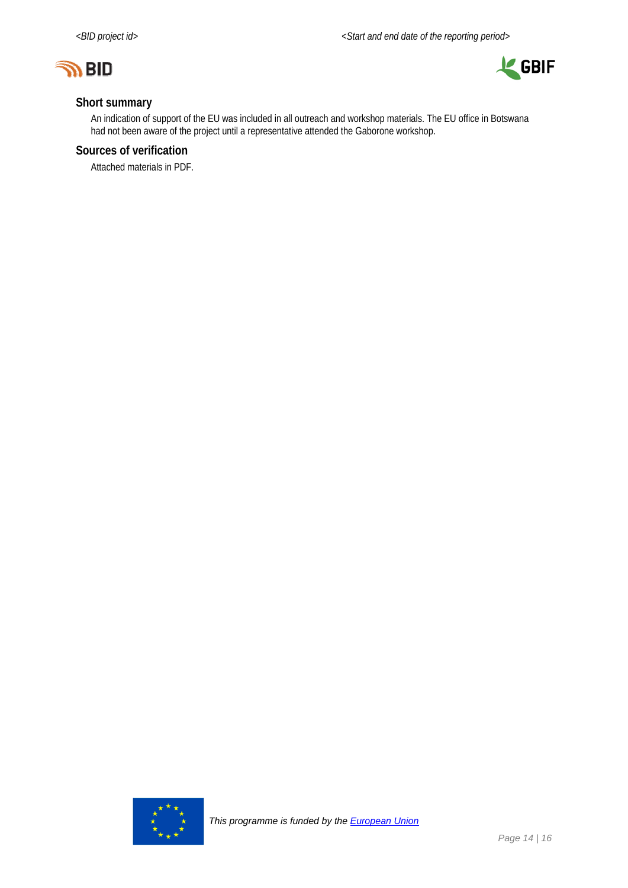



#### **Short summary**

An indication of support of the EU was included in all outreach and workshop materials. The EU office in Botswana had not been aware of the project until a representative attended the Gaborone workshop.

#### **Sources of verification**

Attached materials in PDF.

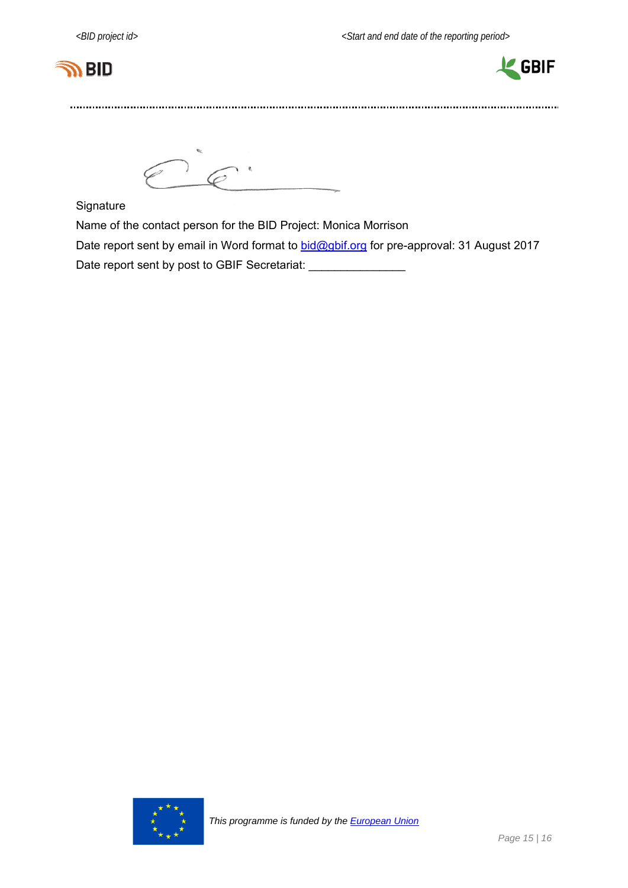



 $Ce<sup>2</sup>$ 

**Signature** 

Name of the contact person for the BID Project: Monica Morrison

Date report sent by email in Word format to **bid@gbif.org** for pre-approval: 31 August 2017

Date report sent by post to GBIF Secretariat: \_\_\_\_\_\_\_\_\_\_\_\_\_\_\_\_\_\_\_\_\_\_\_\_\_\_\_\_\_\_\_\_\_\_